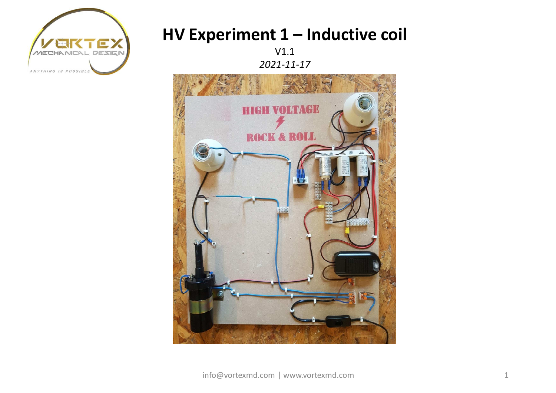

# **HV Experiment 1 – Inductive coil**

V1.1*2021-11-17*

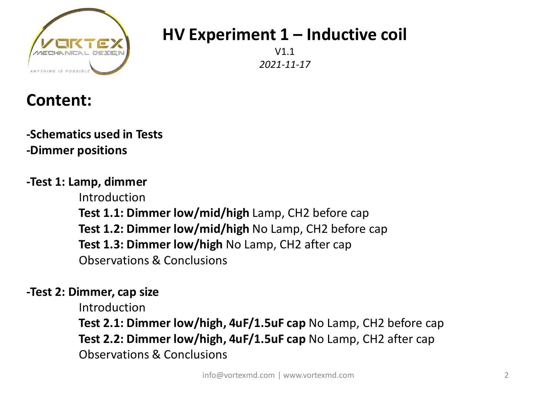

# **HV Experiment 1 – Inductive coil**

V<sub>1</sub>1 *2021-11-17*

# **Content:**

**-Schematics used in Tests-Dimmer positions**

**-Test 1: Lamp, dimmer**Introduction **Test 1.1: Dimmer low/mid/high** Lamp, CH2 before cap **Test 1.2: Dimmer low/mid/high** No Lamp, CH2 before cap**Test 1.3: Dimmer low/high** No Lamp, CH2 after capObservations & Conclusions

### **-Test 2: Dimmer, cap size**

Introduction

 **Test 2.1: Dimmer low/high, 4uF/1.5uF cap** No Lamp, CH2 before cap**Test 2.2: Dimmer low/high, 4uF/1.5uF cap** No Lamp, CH2 after capObservations & Conclusions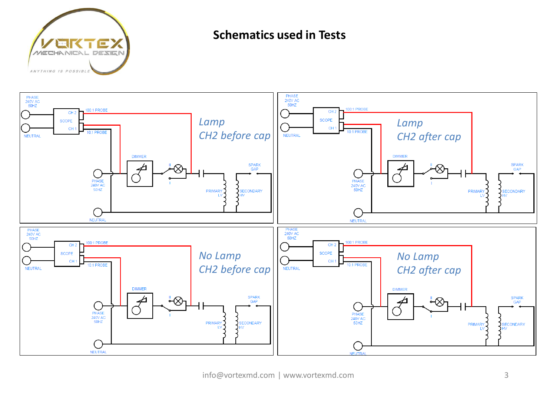

### **Schematics used in Tests**

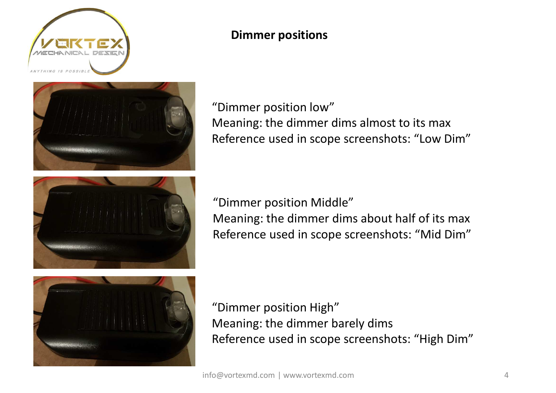

### **Dimmer positions**



"Dimmer position low" Meaning: the dimmer dims almost to its maxReference used in scope screenshots: "Low Dim"



"Dimmer position Middle" Meaning: the dimmer dims about half of its maxReference used in scope screenshots: "Mid Dim"



"Dimmer position High" Meaning: the dimmer barely dimsReference used in scope screenshots: "High Dim"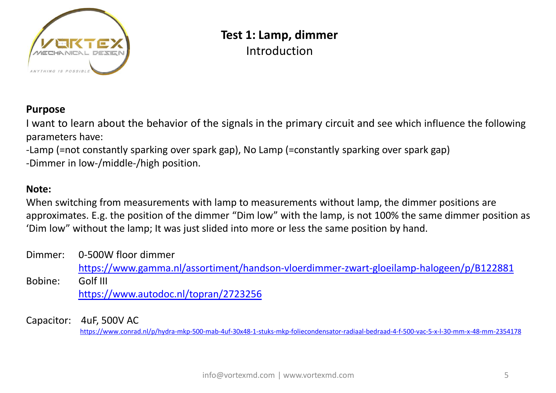

**Test 1: Lamp, dimmer**Introduction

### **Purpose**

 I want to learn about the behavior of the signals in the primary circuit and see which influence the following parameters have:

-Lamp (=not constantly sparking over spark gap), No Lamp (=constantly sparking over spark gap)

-Dimmer in low-/middle-/high position.

### **Note:**

When switching from measurements with lamp to measurements without lamp, the dimmer positions are approximates. E.g. the position of the dimmer "Dim low" with the lamp, is not 100% the same dimmer position as 'Dim low" without the lamp; It was just slided into more or less the same position by hand.

Dimmer: 0-500W floor dimmerhttps://www.gamma.nl/assortiment/handson-vloerdimmer-zwart-gloeilamp-halogeen/p/B122881Bobine: Golf IIIhttps://www.autodoc.nl/topran/2723256

Capacitor: 4uF, 500V AChttps://www.conrad.nl/p/hydra-mkp-500-mab-4uf-30x48-1-stuks-mkp-foliecondensator-radiaal-bedraad-4-f-500-vac-5-x-l-30-mm-x-48-mm-2354178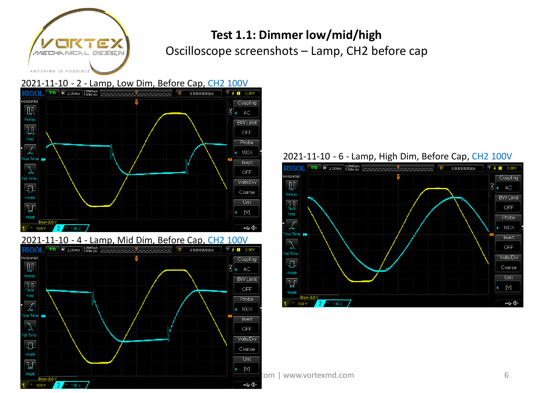

# **Test 1.1: Dimmer low/mid/high**

Oscilloscope screenshots – Lamp, CH2 before cap

# 2021-11-10 - 2 - Lamp, Low Dim, Before Cap, CH2 100V<br>RIGOL FD H 2.00ms 380Mals COODDOOD D 0.00000000ps



## 2021-11-10 - 4 - Lamp, Mid Dim, Before Cap, CH2 100V<br>RIGOL TD H 2.00ms 330Mas Exampled Suppose Processed D 0.00000000ps | T £ 0 0.



# 2021-11-10 - 6 - Lamp, High Dim, Before Cap, CH2 100V

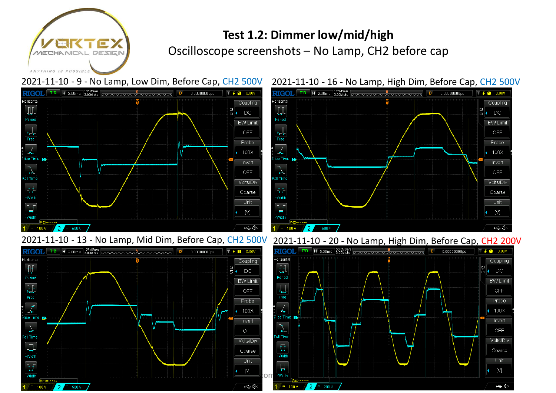

## **Test 1.2: Dimmer low/mid/high**

Oscilloscope screenshots – No Lamp, CH2 before cap





2021-11-10 - 13 - No Lamp, Mid Dim, Before Cap, CH2 500V





2021-11-10 - 20 - No Lamp, High Dim, Before Cap, CH2 200V<br>RIGOL TD H 5.00ms 300Msas Deconomination Control D 0.00000000ps

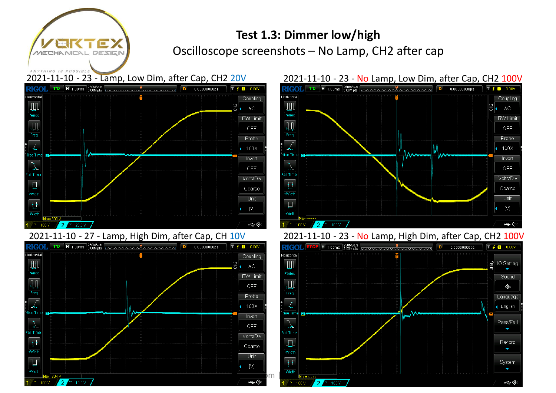# **Test 1.3: Dimmer low/high**Oscilloscope screenshots – No Lamp, CH2 after cap

 $2021-11-10 - 23 - \text{Lamp}$ , Low Dim, after Cap, CH2 20V

MECHANICAL DEXIEN

ANYTHING IS POSS



# 2021-11-10 - 27 - Lamp, High Dim, after Cap, CH 10V<br>RIGOL TO FLOOMS SOOMARS EXANGERATION AND PULSO ODDOODOODES THE



2021-11-10 - 23 - No Lamp, Low Dim, after Cap, CH2 100V



2021-11-10 - 23 - No Lamp, High Dim, after Cap, CH2 100V

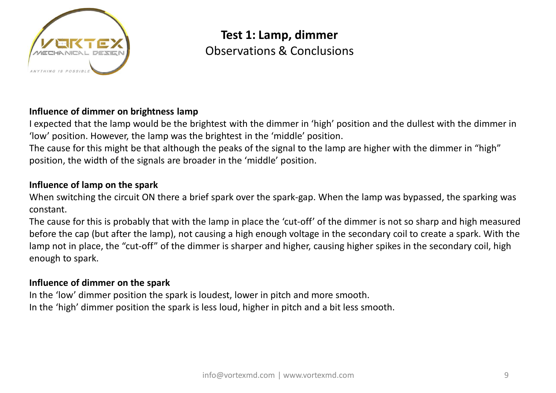

**Test 1: Lamp, dimmer**Observations & Conclusions

#### **Influence of dimmer on brightness lamp**

 I expected that the lamp would be the brightest with the dimmer in 'high' position and the dullest with the dimmer in 'low' position. However, the lamp was the brightest in the 'middle' position.

The cause for this might be that although the peaks of the signal to the lamp are higher with the dimmer in "high" position, the width of the signals are broader in the 'middle' position.

#### **Influence of lamp on the spark**

 When switching the circuit ON there a brief spark over the spark-gap. When the lamp was bypassed, the sparking was constant.

The cause for this is probably that with the lamp in place the 'cut-off' of the dimmer is not so sharp and high measured before the cap (but after the lamp), not causing a high enough voltage in the secondary coil to create a spark. With the lamp not in place, the "cut-off" of the dimmer is sharper and higher, causing higher spikes in the secondary coil, high enough to spark.

#### **Influence of dimmer on the spark**

 In the 'low' dimmer position the spark is loudest, lower in pitch and more smooth.In the 'high' dimmer position the spark is less loud, higher in pitch and a bit less smooth.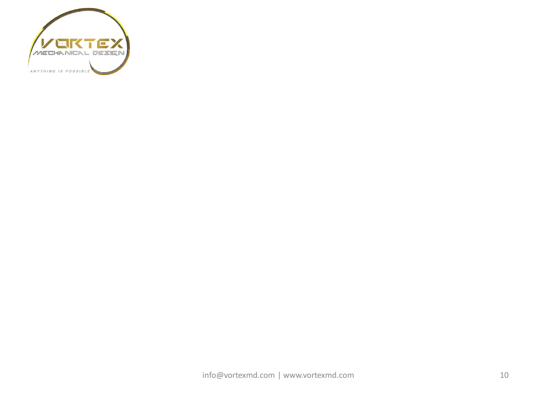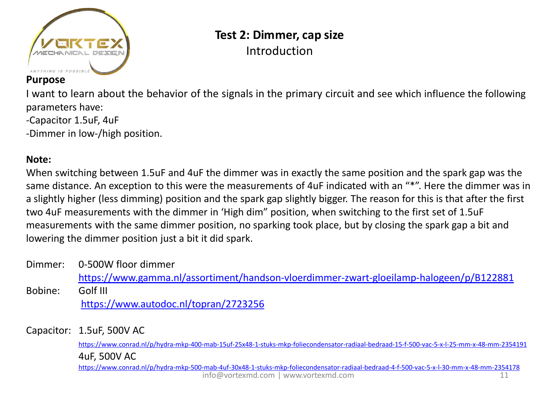

### **Test 2: Dimmer, cap size**Introduction

### **Purpose**

 I want to learn about the behavior of the signals in the primary circuit and see which influence the following parameters have:-Capacitor 1.5uF, 4uF-Dimmer in low-/high position.

### **Note:**

When switching between 1.5uF and 4uF the dimmer was in exactly the same position and the spark gap was the same distance. An exception to this were the measurements of 4uF indicated with an "\*". Here the dimmer was in a slightly higher (less dimming) position and the spark gap slightly bigger. The reason for this is that after the first two 4uF measurements with the dimmer in 'High dim" position, when switching to the first set of 1.5uF measurements with the same dimmer position, no sparking took place, but by closing the spark gap a bit and lowering the dimmer position just a bit it did spark.

Dimmer: 0-500W floor dimmer

https://www.gamma.nl/assortiment/handson-vloerdimmer-zwart-gloeilamp-halogeen/p/B122881

Bobine: Golf IIIhttps://www.autodoc.nl/topran/2723256

Capacitor: 1.5uF, 500V AC

info@vortexmd.com | www.vortexmd.comm and  $11$ https://www.conrad.nl/p/hydra-mkp-400-mab-15uf-25x48-1-stuks-mkp-foliecondensator-radiaal-bedraad-15-f-500-vac-5-x-l-25-mm-x-48-mm-23541914uF, 500V AChttps://www.conrad.nl/p/hydra-mkp-500-mab-4uf-30x48-1-stuks-mkp-foliecondensator-radiaal-bedraad-4-f-500-vac-5-x-l-30-mm-x-48-mm-2354178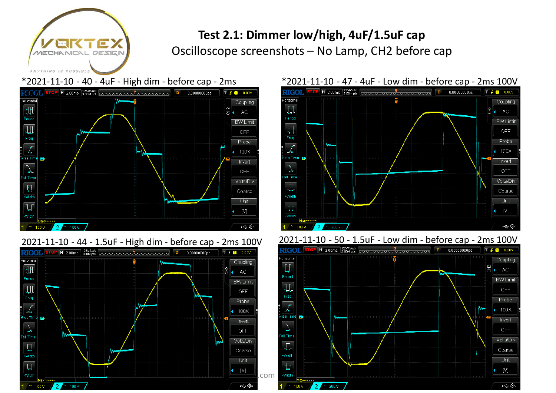

## **Test 2.1: Dimmer low/high, 4uF/1.5uF cap**Oscilloscope screenshots – No Lamp, CH2 before cap

 $*$ 2021-11-10 - 40 - 4uF - High dim - before cap - 2ms



# 2021-11-10 - 44 - 1.5uF - High dim - before cap - 2ms 100V



 $*$ 2021-11-10 - 47 - 4uF - Low dim - before cap - 2ms 100V<br>RIGOL STOP H 2.00ms 13800 als Examples and Records



2021-11-10 - 50 - 1.5uF - Low dim - before cap - 2ms 100V<br>RIGOL STOP H 2.00ms 130Ms/s COODOODOODOOD D - 0.00000000000 | F + 0 0.00V

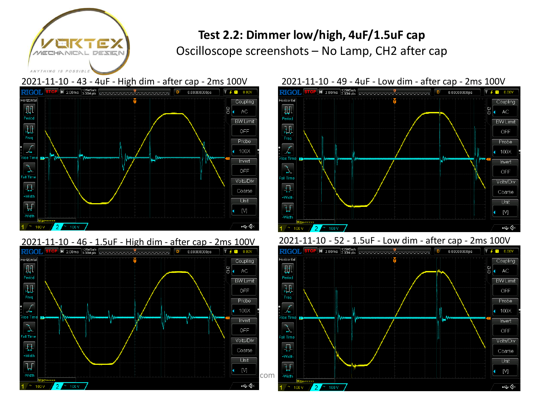

## **Test 2.2: Dimmer low/high, 4uF/1.5uF cap**Oscilloscope screenshots – No Lamp, CH2 after cap

2021-11-10 - 43 - 4uF - High dim - after cap - 2ms 100V<br>RIGOL STOP H 2.00ms 33000 ats Examples Andrew Medical Development of F 0 0.0



# 2021-11-10 - 46 - 1.5uF - High dim - after cap - 2ms 100V<br>RIGOL SLOP H 2.00ms 3200000 Expressions Contract December 1 F + 0 0.00V





## 2021-11-10 - 52 - 1.5uF - Low dim - after cap - 2ms 100V<br>RIGOL STOP H 2.00ms 330Msts Deconomic and the conditions of F f D 0.00

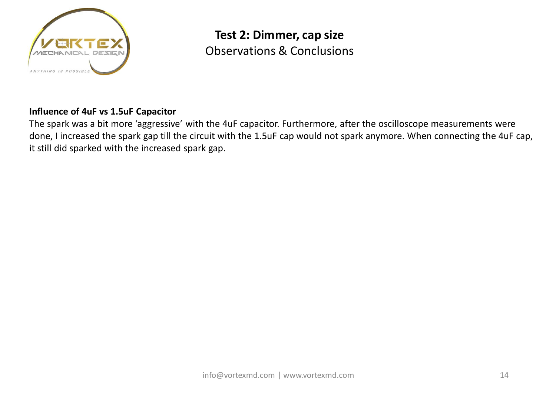

**Test 2: Dimmer, cap size**Observations & Conclusions

#### **Influence of 4uF vs 1.5uF Capacitor**

 The spark was a bit more 'aggressive' with the 4uF capacitor. Furthermore, after the oscilloscope measurements were done, I increased the spark gap till the circuit with the 1.5uF cap would not spark anymore. When connecting the 4uF cap, it still did sparked with the increased spark gap.